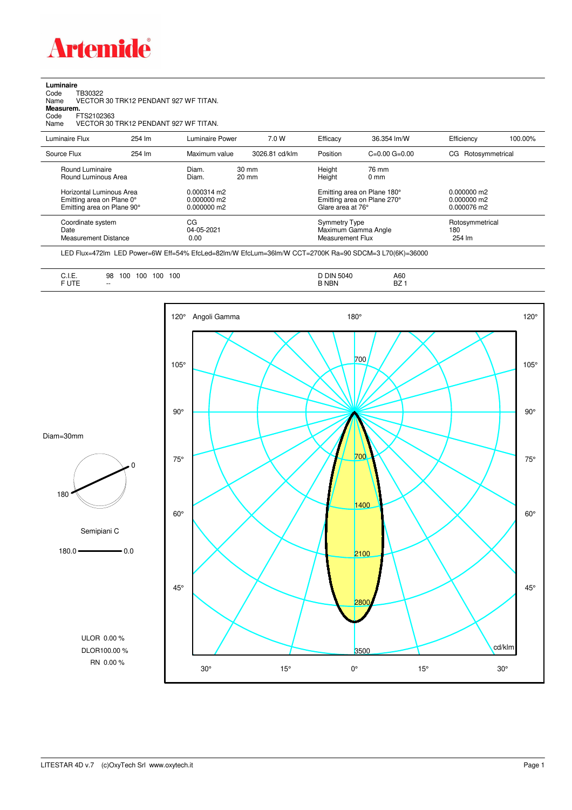

**Luminaire**

 $\overline{\phantom{a}}$  $\overline{a}$ 

| Name<br>Measurem.        |                                        |        | VECTOR 30 TRK12 PENDANT 927 WF TITAN. |                                    |                  |                             |                    |         |  |
|--------------------------|----------------------------------------|--------|---------------------------------------|------------------------------------|------------------|-----------------------------|--------------------|---------|--|
| Code                     | FTS2102363                             |        |                                       |                                    |                  |                             |                    |         |  |
| Name                     |                                        |        | VECTOR 30 TRK12 PENDANT 927 WF TITAN. |                                    |                  |                             |                    |         |  |
| Luminaire Flux           |                                        | 254 lm | <b>Luminaire Power</b>                | 7.0 W                              | Efficacy         | 36.354 lm/W                 | Efficiency         | 100.00% |  |
| Source Flux              |                                        | 254 lm | Maximum value                         | 3026.81 cd/klm                     | Position         | $C=0.00$ $G=0.00$           | CG Rotosymmetrical |         |  |
|                          | Round Luminaire<br>Round Luminous Area |        | Diam.<br>Diam.                        | $30 \text{ mm}$<br>$20 \text{ mm}$ | Height<br>Height | 76 mm<br>$0 \text{ mm}$     |                    |         |  |
| Horizontal Luminous Area |                                        |        | 0.000314 m2                           |                                    |                  | Emitting area on Plane 180° | 0.000000 m2        |         |  |

| Emitting area on Plane 0°  | 0.000000 m2 | Emitting area on Plane 270° | 0.000000 m2     |  |
|----------------------------|-------------|-----------------------------|-----------------|--|
| Emitting area on Plane 90° | 0.000000 m2 | Glare area at 76°           | 0.000076 m2     |  |
| Coordinate system          | СG          | Symmetry Type               | Rotosymmetrical |  |
| Date                       | 04-05-2021  | Maximum Gamma Angle         | 180             |  |
| Measurement Distance       | 0.00        | Measurement Flux            | 254 lm          |  |

LED Flux=472lm LED Power=6W Eff=54% EfcLed=82lm/W EfcLum=36lm/W CCT=2700K Ra=90 SDCM=3 L70(6K)=36000

|  | . .<br>◡…<br>$\sim$ $\sim$ $\sim$ $\sim$ $\sim$ $\sim$ $\sim$ $\sim$<br>1.177 | 100<br>00<br>100<br>98<br>100<br>__<br>$- -$ | DIN<br>-5040<br><b>NBN</b> | A60<br>$\sim$<br>DŁ. |
|--|-------------------------------------------------------------------------------|----------------------------------------------|----------------------------|----------------------|
|--|-------------------------------------------------------------------------------|----------------------------------------------|----------------------------|----------------------|